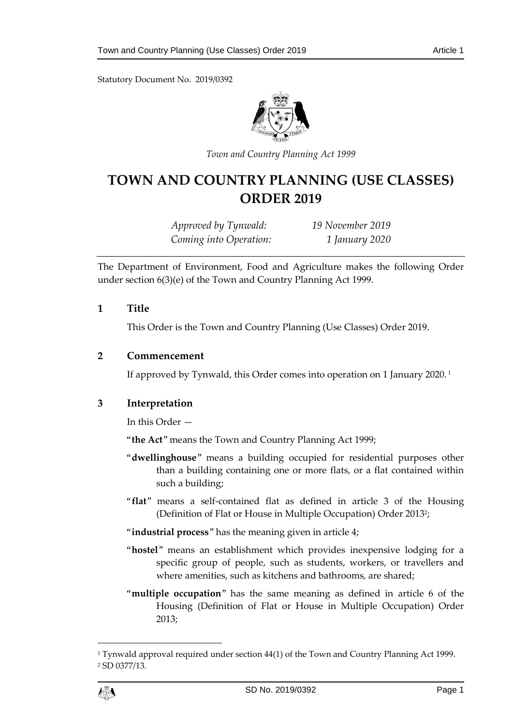Statutory Document No. 2019/0392



*Town and Country Planning Act 1999*

# **TOWN AND COUNTRY PLANNING (USE CLASSES) ORDER 2019**

*Approved by Tynwald: 19 November 2019 Coming into Operation: 1 January 2020*

The Department of Environment, Food and Agriculture makes the following Order under section 6(3)(e) of the Town and Country Planning Act 1999.

#### **1 Title**

This Order is the Town and Country Planning (Use Classes) Order 2019.

#### **2 Commencement**

If approved by Tynwald, this Order comes into operation on 1 January 2020. 1

# **3 Interpretation**

In this Order —

"**the Act**" means the Town and Country Planning Act 1999;

- "**dwellinghouse**" means a building occupied for residential purposes other than a building containing one or more flats, or a flat contained within such a building;
- "**flat**" means a self-contained flat as defined in article 3 of the Housing (Definition of Flat or House in Multiple Occupation) Order 2013<sup>2</sup> ;

"**industrial process**" has the meaning given in article 4;

- "**hostel**" means an establishment which provides inexpensive lodging for a specific group of people, such as students, workers, or travellers and where amenities, such as kitchens and bathrooms, are shared;
- "**multiple occupation**" has the same meaning as defined in article 6 of the Housing (Definition of Flat or House in Multiple Occupation) Order 2013;

 $\overline{a}$ 

<sup>1</sup> Tynwald approval required under section 44(1) of the Town and Country Planning Act 1999. <sup>2</sup> SD 0377/13.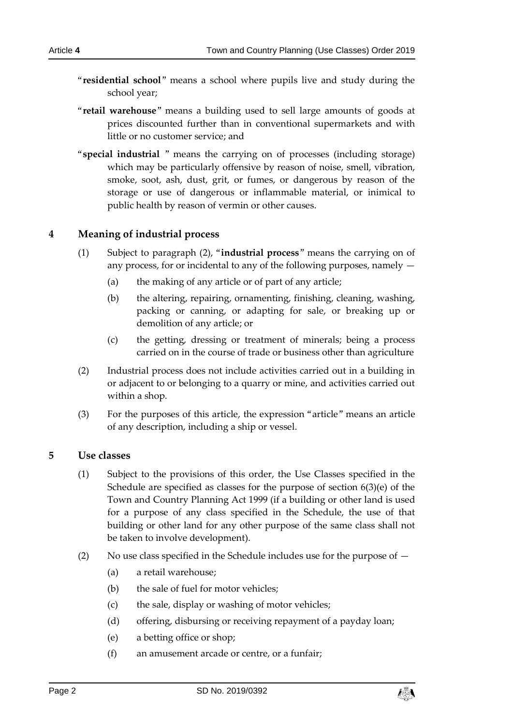- - "**residential school**" means a school where pupils live and study during the school year;
	- "**retail warehouse**" means a building used to sell large amounts of goods at prices discounted further than in conventional supermarkets and with little or no customer service; and
	- "**special industrial** " means the carrying on of processes (including storage) which may be particularly offensive by reason of noise, smell, vibration, smoke, soot, ash, dust, grit, or fumes, or dangerous by reason of the storage or use of dangerous or inflammable material, or inimical to public health by reason of vermin or other causes.

# **4 Meaning of industrial process**

- (1) Subject to paragraph (2), "**industrial process**" means the carrying on of any process, for or incidental to any of the following purposes, namely —
	- (a) the making of any article or of part of any article;
	- (b) the altering, repairing, ornamenting, finishing, cleaning, washing, packing or canning, or adapting for sale, or breaking up or demolition of any article; or
	- (c) the getting, dressing or treatment of minerals; being a process carried on in the course of trade or business other than agriculture
- (2) Industrial process does not include activities carried out in a building in or adjacent to or belonging to a quarry or mine, and activities carried out within a shop.
- (3) For the purposes of this article, the expression "article" means an article of any description, including a ship or vessel.

# **5 Use classes**

- (1) Subject to the provisions of this order, the Use Classes specified in the Schedule are specified as classes for the purpose of section 6(3)(e) of the Town and Country Planning Act 1999 (if a building or other land is used for a purpose of any class specified in the Schedule, the use of that building or other land for any other purpose of the same class shall not be taken to involve development).
- (2) No use class specified in the Schedule includes use for the purpose of
	- (a) a retail warehouse;
	- (b) the sale of fuel for motor vehicles;
	- (c) the sale, display or washing of motor vehicles;
	- (d) offering, disbursing or receiving repayment of a payday loan;
	- (e) a betting office or shop;
	- (f) an amusement arcade or centre, or a funfair;

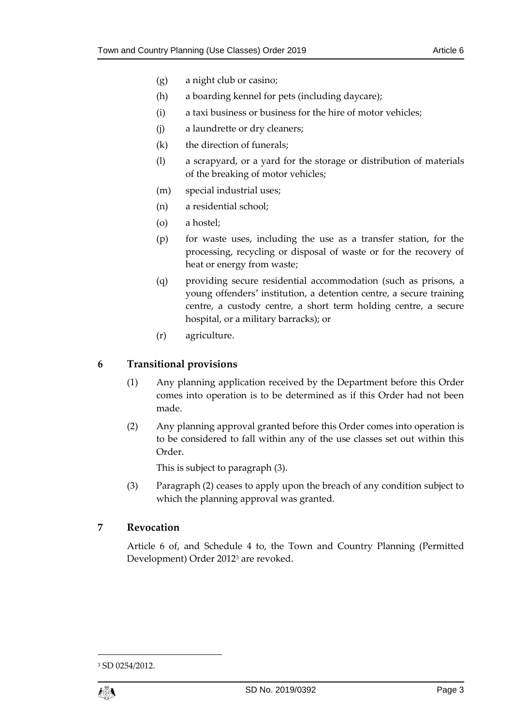- (g) a night club or casino;
- (h) a boarding kennel for pets (including daycare);
- (i) a taxi business or business for the hire of motor vehicles;
- (j) a laundrette or dry cleaners;
- (k) the direction of funerals;
- (l) a scrapyard, or a yard for the storage or distribution of materials of the breaking of motor vehicles;
- (m) special industrial uses;
- (n) a residential school;
- (o) a hostel;
- (p) for waste uses, including the use as a transfer station, for the processing, recycling or disposal of waste or for the recovery of heat or energy from waste;
- (q) providing secure residential accommodation (such as prisons, a young offenders' institution, a detention centre, a secure training centre, a custody centre, a short term holding centre, a secure hospital, or a military barracks); or
- (r) agriculture.

# **6 Transitional provisions**

- (1) Any planning application received by the Department before this Order comes into operation is to be determined as if this Order had not been made.
- (2) Any planning approval granted before this Order comes into operation is to be considered to fall within any of the use classes set out within this Order.

This is subject to paragraph (3).

(3) Paragraph (2) ceases to apply upon the breach of any condition subject to which the planning approval was granted.

#### **7 Revocation**

Article 6 of, and Schedule 4 to, the Town and Country Planning (Permitted Development) Order 2012<sup>3</sup> are revoked.

<sup>3</sup> SD 0254/2012.



1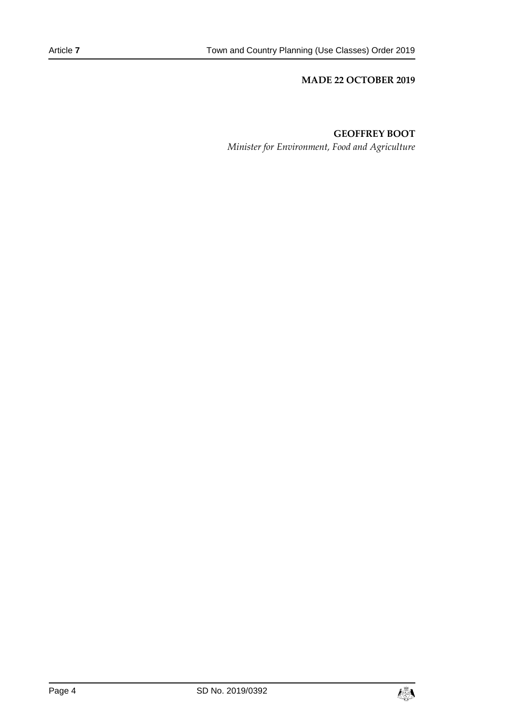#### **MADE 22 OCTOBER 2019**

#### **GEOFFREY BOOT**

*Minister for Environment, Food and Agriculture*

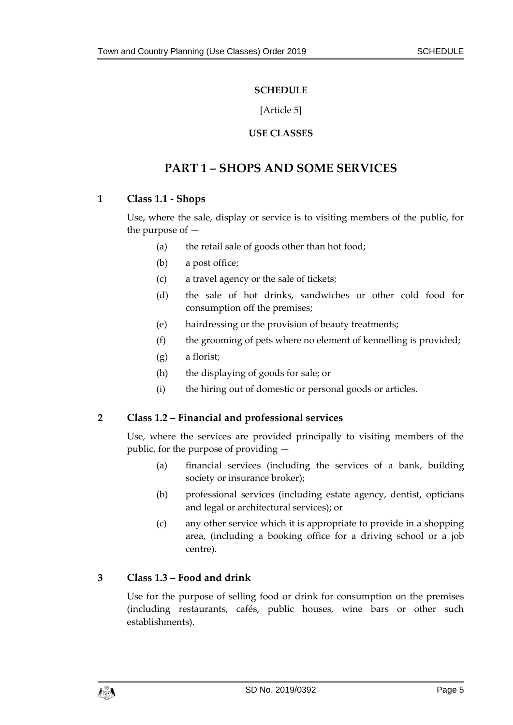#### **SCHEDULE**

[Article 5]

# **USE CLASSES**

# **PART 1 – SHOPS AND SOME SERVICES**

# **1 Class 1.1 - Shops**

Use, where the sale, display or service is to visiting members of the public, for the purpose of —

- (a) the retail sale of goods other than hot food;
- (b) a post office;
- (c) a travel agency or the sale of tickets;
- (d) the sale of hot drinks, sandwiches or other cold food for consumption off the premises;
- (e) hairdressing or the provision of beauty treatments;
- (f) the grooming of pets where no element of kennelling is provided;
- (g) a florist;
- (h) the displaying of goods for sale; or
- (i) the hiring out of domestic or personal goods or articles.

# **2 Class 1.2 – Financial and professional services**

Use, where the services are provided principally to visiting members of the public, for the purpose of providing —

- (a) financial services (including the services of a bank, building society or insurance broker);
- (b) professional services (including estate agency, dentist, opticians and legal or architectural services); or
- (c) any other service which it is appropriate to provide in a shopping area, (including a booking office for a driving school or a job centre).

# **3 Class 1.3 – Food and drink**

Use for the purpose of selling food or drink for consumption on the premises (including restaurants, cafés, public houses, wine bars or other such establishments).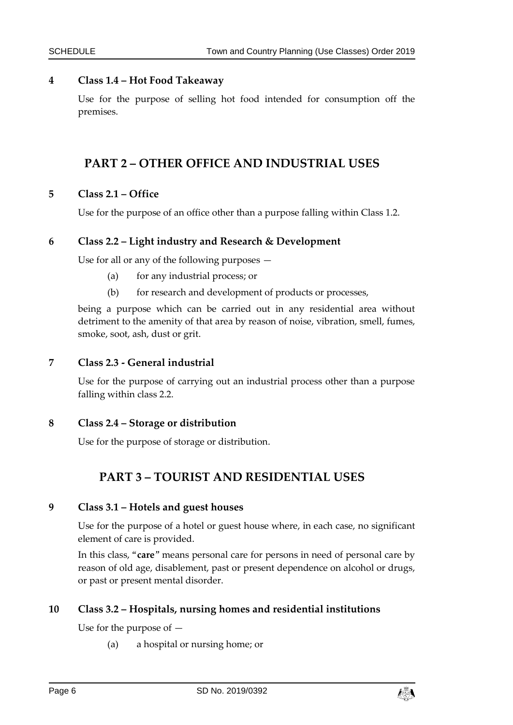# **4 Class 1.4 – Hot Food Takeaway**

Use for the purpose of selling hot food intended for consumption off the premises.

# **PART 2 – OTHER OFFICE AND INDUSTRIAL USES**

#### **5 Class 2.1 – Office**

Use for the purpose of an office other than a purpose falling within Class 1.2.

#### **6 Class 2.2 – Light industry and Research & Development**

Use for all or any of the following purposes —

- (a) for any industrial process; or
- (b) for research and development of products or processes,

being a purpose which can be carried out in any residential area without detriment to the amenity of that area by reason of noise, vibration, smell, fumes, smoke, soot, ash, dust or grit.

#### **7 Class 2.3 - General industrial**

Use for the purpose of carrying out an industrial process other than a purpose falling within class 2.2.

**8 Class 2.4 – Storage or distribution**

Use for the purpose of storage or distribution.

# **PART 3 – TOURIST AND RESIDENTIAL USES**

#### **9 Class 3.1 – Hotels and guest houses**

Use for the purpose of a hotel or guest house where, in each case, no significant element of care is provided.

In this class, "**care**" means personal care for persons in need of personal care by reason of old age, disablement, past or present dependence on alcohol or drugs, or past or present mental disorder.

# **10 Class 3.2 – Hospitals, nursing homes and residential institutions**

Use for the purpose of —

(a) a hospital or nursing home; or

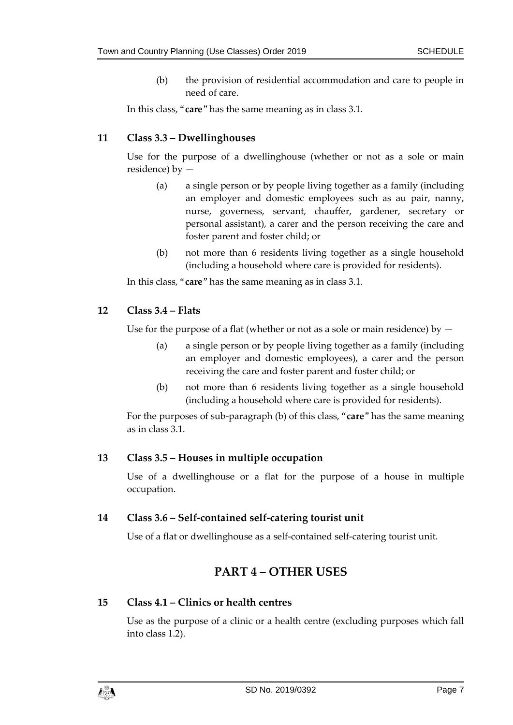(b) the provision of residential accommodation and care to people in need of care.

In this class, "**care**" has the same meaning as in class 3.1.

# **11 Class 3.3 – Dwellinghouses**

Use for the purpose of a dwellinghouse (whether or not as a sole or main residence) by —

- (a) a single person or by people living together as a family (including an employer and domestic employees such as au pair, nanny, nurse, governess, servant, chauffer, gardener, secretary or personal assistant), a carer and the person receiving the care and foster parent and foster child; or
- (b) not more than 6 residents living together as a single household (including a household where care is provided for residents).

In this class, "**care**" has the same meaning as in class 3.1.

# **12 Class 3.4 – Flats**

Use for the purpose of a flat (whether or not as a sole or main residence) by  $-$ 

- (a) a single person or by people living together as a family (including an employer and domestic employees), a carer and the person receiving the care and foster parent and foster child; or
- (b) not more than 6 residents living together as a single household (including a household where care is provided for residents).

For the purposes of sub-paragraph (b) of this class, "**care**" has the same meaning as in class 3.1.

# **13 Class 3.5 – Houses in multiple occupation**

Use of a dwellinghouse or a flat for the purpose of a house in multiple occupation.

# **14 Class 3.6 – Self-contained self-catering tourist unit**

Use of a flat or dwellinghouse as a self-contained self-catering tourist unit.

# **PART 4 – OTHER USES**

#### **15 Class 4.1 – Clinics or health centres**

Use as the purpose of a clinic or a health centre (excluding purposes which fall into class 1.2).

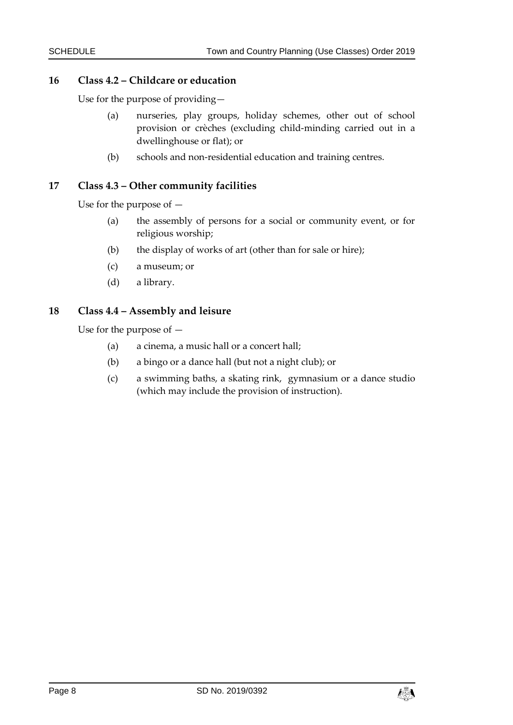# **16 Class 4.2 – Childcare or education**

Use for the purpose of providing—

- (a) nurseries, play groups, holiday schemes, other out of school provision or crèches (excluding child-minding carried out in a dwellinghouse or flat); or
- (b) schools and non-residential education and training centres.

# **17 Class 4.3 – Other community facilities**

Use for the purpose of —

- (a) the assembly of persons for a social or community event, or for religious worship;
- (b) the display of works of art (other than for sale or hire);
- (c) a museum; or
- (d) a library.

# **18 Class 4.4 – Assembly and leisure**

Use for the purpose of —

- (a) a cinema, a music hall or a concert hall;
- (b) a bingo or a dance hall (but not a night club); or
- (c) a swimming baths, a skating rink, gymnasium or a dance studio (which may include the provision of instruction).